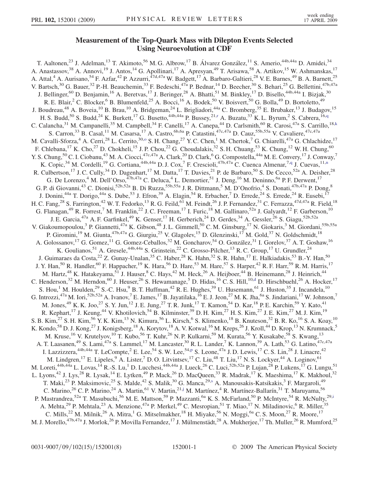## Measurement of the Top-Quark Mass with Dilepton Events Selected Using Neuroevolution at CDF

T. Aaltonen,<sup>23</sup> J. Adelman,<sup>13</sup> T. Akimoto,<sup>56</sup> M. G. Albrow,<sup>17</sup> B. Álvarez González,<sup>11</sup> S. Amerio,<sup>44b,44a</sup> D. Amidei,<sup>34</sup> A. Anastassov,<sup>38</sup> A. Annovi,<sup>19</sup> J. Antos,<sup>14</sup> G. Apollinari,<sup>17</sup> A. Apresyan,<sup>49</sup> T. Arisawa,<sup>58</sup> A. Artikov,<sup>15</sup> W. Ashmanskas,<sup>17</sup> A. Attal,<sup>4</sup> A. Aurisano,<sup>54</sup> F. Azfar,<sup>42</sup> P. Azzurri,<sup>47d,47a</sup> W. Badgett,<sup>17</sup> A. Barbaro-Galtieri,<sup>28</sup> V. E. Barnes,<sup>49</sup> B. A. Barnett,<sup>25</sup> V. Bartsch,<sup>30</sup> G. Bauer,<sup>32</sup> P.-H. Beauchemin,<sup>33</sup> F. Bedeschi,<sup>47a</sup> P. Bednar,<sup>14</sup> D. Beecher,<sup>30</sup> S. Behari,<sup>25</sup> G. Bellettini,<sup>47b,47a</sup> J. Bellinger,<sup>60</sup> D. Benjamin,<sup>16</sup> A. Beretvas,<sup>17</sup> J. Beringer,<sup>28</sup> A. Bhatti,<sup>51</sup> M. Binkley,<sup>17</sup> D. Bisello,<sup>44b,44a</sup> I. Bizjak,<sup>30</sup> R. E. Blair,<sup>2</sup> C. Blocker,<sup>6</sup> B. Blumenfeld,<sup>25</sup> A. Bocci,<sup>16</sup> A. Bodek,<sup>50</sup> V. Boisvert,<sup>50</sup> G. Bolla,<sup>49</sup> D. Bortoletto,<sup>49</sup> J. Boudreau,<sup>48</sup> A. Boveia,<sup>10</sup> B. Brau,<sup>10</sup> A. Bridgeman,<sup>24</sup> L. Brigliadori,<sup>44a</sup> C. Bromberg,<sup>35</sup> E. Brubaker,<sup>13</sup> J. Budagov,<sup>15</sup> H. S. Budd,<sup>50</sup> S. Budd,<sup>24</sup> K. Bu[r](#page-6-0)kett,<sup>17</sup> G. Busetto,<sup>44b,44a</sup> P. Bussey,<sup>21,r</sup> A. Buzatu,<sup>33</sup> K. L. Byrum,<sup>2</sup> S. Cabrera,<sup>16[,q](#page-6-0)</sup> C. Calancha,<sup>31</sup> M. Campanelli,<sup>35</sup> M. Campbell,<sup>34</sup> F. Canelli,<sup>17</sup> A. Canepa,<sup>44</sup> D. Carlsmith,<sup>60</sup> R. Carosi,<sup>47a</sup> S. Carrillo,<sup>18[,k](#page-6-0)</sup> S. Carron,<sup>33</sup> B. Casal,<sup>11</sup> M. Casarsa,<sup>17</sup> A. Castro,<sup>6b,6a</sup> P. Catastini,<sup>47c,47a</sup> D. Cauz,<sup>55b,55a</sup> V. Cavaliere,<sup>47c,47a</sup> M. Cavalli-Sforza,<sup>4</sup> A. Cerri,<sup>28</sup> L. Cerrito,<sup>30,0</sup> S. H. Chang,<sup>27</sup> Y. C. Chen,<sup>1</sup> M. Chertok,<sup>7</sup> G. Chiarelli,<sup>47a</sup> G. Chlachidze,<sup>17</sup> F. Chlebana,<sup>17</sup> K. Cho,<sup>27</sup> D. Chokheli,<sup>15</sup> J. P. Chou,<sup>22</sup> G. Choudalakis,<sup>32</sup> S. H. Chuang,<sup>53</sup> K. Chung,<sup>12</sup> W. H. Chung,<sup>60</sup> Y. S. Chung, <sup>50</sup> C. I. Ciobanu, <sup>43</sup> M. A. Ciocci, <sup>47c, 47a</sup> A. Clark, <sup>20</sup> D. Clark, <sup>6</sup> G. Compostella, <sup>44a</sup> M. E. Convery, <sup>17</sup> J. Conway, <sup>7</sup> K. Copic,<sup>34</sup> M. Cordelli,<sup>19</sup> G. Cortiana,<sup>44b,44a</sup> D. J. Cox,<sup>7</sup> F. Crescioli,<sup>47b,47a</sup> C. Cuenca Almenar,<sup>7[,q](#page-6-0)</sup> J. Cuevas,<sup>11,[n](#page-6-0)</sup> R. Culbertson,<sup>17</sup> J. C. Cully,<sup>34</sup> D. Dagenhart,<sup>17</sup> M. Datta,<sup>17</sup> T. Davies,<sup>21</sup> P. de Barbaro,<sup>50</sup> S. De Cecco,<sup>52a</sup> A. Deisher,<sup>28</sup> G. De Lorenzo,<sup>4</sup> M. Dell'Orso,<sup>47b,47a</sup> C. Deluca,<sup>4</sup> L. Demortier,<sup>51</sup> J. Deng,<sup>16</sup> M. Deninno,<sup>6a</sup> P. F. Derwent,<sup>17</sup> G. P. di Giovanni,<sup>43</sup> C. Dionisi,<sup>52b,52a</sup> B. Di Ruzza,<sup>55b,55a</sup> J. R. Dittmann,<sup>5</sup> M. D'Onofrio,<sup>4</sup> S. Donati,<sup>47b,47a</sup> P. Dong,<sup>8</sup> J. Donini,<sup>44a</sup> T. Dorigo,<sup>44a</sup> S. Dube,<sup>53</sup> J. Efron,<sup>39</sup> A. Elagin,<sup>54</sup> R. Erbacher,<sup>7</sup> D. Errede,<sup>24</sup> S. Errede,<sup>24</sup> R. Eusebi,<sup>17</sup> H. C. Fang,<sup>28</sup> S. Farrington,<sup>42</sup> W. T. Fedorko,<sup>13</sup> R. G. Feild,<sup>61</sup> M. Feindt,<sup>26</sup> J. P. Fernandez,<sup>31</sup> C. Ferrazza,<sup>47d,47a</sup> R. Field,<sup>18</sup> G. Flanagan,<sup>49</sup> R. Forrest,<sup>7</sup> M. Franklin,<sup>22</sup> J. C. Freeman,<sup>17</sup> I. Furic,<sup>18</sup> M. Gallinaro,<sup>52a</sup> J. Galyardt,<sup>12</sup> F. Garberson,<sup>10</sup> J. E. Garcia,<sup>47a</sup> A. F. Garfinkel,<sup>49</sup> K. Genser,<sup>17</sup> H. Gerberich,<sup>24</sup> D. Gerdes,<sup>34</sup> A. Gessler,<sup>26</sup> S. Giagu,<sup>52b,52a</sup> V. Giakoumopoulou,<sup>3</sup> P. Giannetti,<sup>47a</sup> K. Gibson,<sup>48</sup> J.L. Gimmell,<sup>50</sup> C.M. Ginsburg,<sup>17</sup> N. Giokaris,<sup>3</sup> M. Giordani,<sup>55b,55a</sup> P. Giromini,<sup>19</sup> M. Giunta,<sup>47b,47a</sup> G. Giurgiu,<sup>25</sup> V. Glagolev,<sup>15</sup> D. Glenzinski,<sup>17</sup> M. Gold,<sup>37</sup> N. Goldschmidt,<sup>18</sup> A. Golossanov,<sup>17</sup> G. Gomez,<sup>11</sup> G. Gomez-Ceballos,<sup>32</sup> M. Goncharov,<sup>54</sup> O. González,<sup>31</sup> I. Gorelov,<sup>37</sup> A. T. Goshaw,<sup>16</sup> K. Goulianos,<sup>51</sup> A. Gresele,<sup>44b,44a</sup> S. Grinstein,<sup>22</sup> C. Grosso-Pilcher,<sup>13</sup> R. C. Group,<sup>17</sup> U. Grundler,<sup>24</sup> J. Guimaraes da Costa,<sup>22</sup> Z. Gunay-Unalan,<sup>35</sup> C. Haber,<sup>28</sup> K. Hahn,<sup>32</sup> S. R. Hahn,<sup>17</sup> E. Halkiadakis,<sup>53</sup> B.-Y. Han,<sup>50</sup> J. Y. Han,<sup>50</sup> R. Handler,<sup>60</sup> F. Happacher,<sup>19</sup> K. Hara,<sup>56</sup> D. Hare,<sup>53</sup> M. Hare,<sup>57</sup> S. Harper,<sup>42</sup> R. F. Harr,<sup>59</sup> R. M. Harris,<sup>17</sup> M. Hartz,<sup>48</sup> K. Hatakeyama,<sup>51</sup> J. Hauser,<sup>8</sup> C. Hays,<sup>42</sup> M. Heck,<sup>26</sup> A. Heijboer,<sup>44</sup> B. Heinemann,<sup>28</sup> J. Heinrich,<sup>44</sup> C. Henderson,<sup>32</sup> M. Herndon,<sup>60</sup> J. Heuser,<sup>26</sup> S. Hewamanage,<sup>5</sup> D. Hidas,<sup>16</sup> C. S. Hill,<sup>10[,d](#page-6-0)</sup> D. Hirschbuehl,<sup>26</sup> A. Hocker,<sup>17</sup> S. Hou,<sup>1</sup> M. Houlden,<sup>29</sup> S.-C. Hsu,<sup>9</sup> B. T. Huffman,<sup>42</sup> R. E. Hughes,<sup>39</sup> U. Husemann,<sup>61</sup> J. Huston,<sup>35</sup> J. Incandela,<sup>10</sup> G. Introzzi,<sup>47a</sup> M. Iori,<sup>52b,52a</sup> A. Ivanov,<sup>7</sup> E. James,<sup>17</sup> B. Jayatilaka,<sup>16</sup> E. J. Jeon,<sup>27</sup> M. K. Jha,<sup>6a</sup> S. Jindariani,<sup>17</sup> W. Johnson,<sup>7</sup> M. Jones,<sup>49</sup> K. K. Joo,<sup>27</sup> S. Y. Jun,<sup>12</sup> J. E. Jung,<sup>27</sup> T. R. Junk,<sup>17</sup> T. Kamon,<sup>54</sup> D. Kar,<sup>18</sup> P. E. Karchin,<sup>59</sup> Y. Kato,<sup>41</sup> R. Kephart,<sup>17</sup> J. Keung,<sup>44</sup> V. Khotilovich,<sup>54</sup> B. Kilminster,<sup>39</sup> D. H. Kim,<sup>27</sup> H. S. Kim,<sup>27</sup> J. E. Kim,<sup>27</sup> M. J. Kim,<sup>19</sup> S. B. Kim,  $^{27}$  S. H. Kim,  $^{56}$  Y. K. Kim,  $^{13}$  N. Kimura,  $^{56}$  L. Kirsch,  $^6$  S. Klimenko,  $^{18}$  B. Knuteson,  $^{32}$  B. R. Ko,  $^{16}$  S. A. Koay,  $^{10}$ K. Kondo,<sup>58</sup> D. J. Kong,<sup>27</sup> J. Konigsberg,<sup>18</sup> A. Korytov,<sup>18</sup> A. V. Kotwal,<sup>16</sup> M. Kreps,<sup>26</sup> J. Kroll,<sup>44</sup> D. Krop,<sup>13</sup> N. Krumnack,<sup>5</sup> M. Kruse,<sup>16</sup> V. Krutelyov,<sup>10</sup> T. Kubo,<sup>56</sup> T. Kuhr,<sup>26</sup> N. P. Kulkarni,<sup>59</sup> M. Kurata,<sup>56</sup> Y. Kusakabe,<sup>58</sup> S. Kwang,<sup>13</sup> A. T. Laasanen,<sup>49</sup> S. Lami,<sup>47a</sup> S. Lammel,<sup>17</sup> M. Lancaster,<sup>30</sup> R. L. Lander,<sup>7</sup> K. Lannon,<sup>39</sup> A. Lath,<sup>53</sup> G. Latino,<sup>47c,47a</sup> I. Lazzizzera,  $44b,44a$  T. LeCom[p](#page-6-0)te,  $^2$  E. Lee,  $^{54}$  S. W. Lee,  $^{54,p}$  S. Leone,  $47a$  J. D. Lewis,  $^{17}$  C. S. Lin,  $^{28}$  J. Linacre,  $^{42}$ M. Lindgren,<sup>17</sup> E. Lipeles, <sup>9</sup> A. Lister, <sup>7</sup> D. O. Litvintsev, <sup>17</sup> C. Liu, <sup>48</sup> T. Liu, <sup>17</sup> N. S. Lockyer, <sup>44</sup> A. Loginov, <sup>61</sup> M. Loreti,<sup>44b,44a</sup> L. Lovas,<sup>14</sup> R.-S. Lu,<sup>1</sup> D. Lucchesi,<sup>44b,44a</sup> J. Lueck,<sup>26</sup> C. Luci,<sup>52b,52a</sup> P. Lujan,<sup>28</sup> P. Lukens,<sup>17</sup> G. Lungu,<sup>51</sup> L. Lyons,<sup>42</sup> J. Lys,<sup>28</sup> R. Lysak,<sup>14</sup> E. Lytken,<sup>49</sup> P. Mack,<sup>26</sup> D. MacQueen,<sup>33</sup> R. Madrak,<sup>17</sup> K. Maeshima,<sup>17</sup> K. Makhoul,<sup>32</sup> T. Maki,<sup>23</sup> P. Maksimovic,<sup>25</sup> S. Malde,<sup>42</sup> S. Malik,<sup>30</sup> G. Manca,<sup>29[,s](#page-6-0)</sup> A. Manousakis-Katsikakis,<sup>3</sup> F. Margaroli,<sup>49</sup> C. Marino,<sup>26</sup> C. P. Marino,<sup>24</sup> A. Martin,<sup>61</sup> V. Martin,<sup>21[,j](#page-6-0)</sup> M. Martínez,<sup>4</sup> R. Martínez-Ballarín,<sup>31</sup> T. Maruyama,<sup>56</sup> P. Mastrandrea,<sup>52a</sup> T. Masubuchi,<sup>56</sup> M. E. Mattson,<sup>59</sup> P. Mazzanti,<sup>6a</sup> K. S. McFarland,<sup>50</sup> P. McIntyre,<sup>54</sup> R. McNulty,<sup>29[,i](#page-6-0)</sup> A. Mehta,<sup>29</sup> P. Mehtala,<sup>23</sup> A. Menzione,<sup>47a</sup> P. Merkel,<sup>49</sup> C. Mesropian,<sup>51</sup> T. Miao,<sup>17</sup> N. Miladinovic,<sup>6</sup> R. Miller,<sup>35</sup> C. Mills,<sup>22</sup> M. Milnik,<sup>26</sup> A. Mitra,<sup>1</sup> G. Mitselmakher,<sup>18</sup> H. Miyake,<sup>56</sup> N. Moggi,<sup>6a</sup> C. S. Moon,<sup>27</sup> R. Moore,<sup>17</sup> M. J. Morello,<sup>47b,47a</sup> J. Morlok,<sup>26</sup> P. Movilla Fernandez,<sup>17</sup> J. Mülmenstädt,<sup>28</sup> A. Mukherjee,<sup>17</sup> Th. Muller,<sup>26</sup> R. Mumford,<sup>25</sup>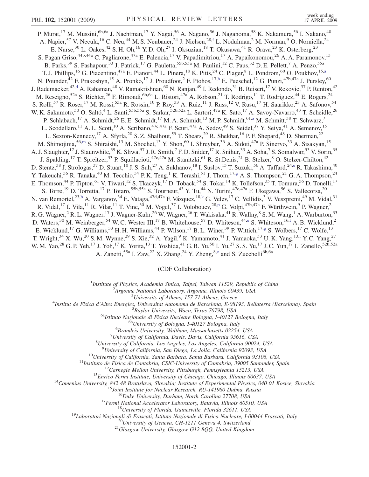P. Murat,<sup>17</sup> M. Mussini,<sup>6b,6a</sup> J. Nachtman,<sup>17</sup> Y. Nagai,<sup>56</sup> A. Nagano,<sup>56</sup> J. Naganoma,<sup>58</sup> K. Nakamura,<sup>56</sup> I. Nakano,<sup>40</sup> A. Napier,<sup>57</sup> V. Necula,<sup>16</sup> C. Neu,<sup>44</sup> M. S. Neubauer,<sup>24</sup> J. Nielsen,<sup>28[,f](#page-6-0)</sup> L. Nodulman,<sup>2</sup> M. Norman,<sup>9</sup> O. Norniella,<sup>24</sup> E. Nurse,<sup>30</sup> L. Oakes,<sup>42</sup> S. H. Oh,<sup>16</sup> Y. D. Oh,<sup>27</sup> I. Oksuzian,<sup>18</sup> T. Okusawa,<sup>41</sup> R. Orava,<sup>23</sup> K. Osterberg,<sup>23</sup> S. Pagan Griso,<sup>44b,44a</sup> C. Pagliarone,<sup>47a</sup> E. Palencia,<sup>17</sup> V. Papadimitriou,<sup>17</sup> A. Papaikonomou,<sup>26</sup> A. A. Paramonov,<sup>13</sup> B. Parks,<sup>39</sup> S. Pashapour,<sup>33</sup> J. Patrick,<sup>17</sup> G. Pauletta,<sup>55b,55a</sup> M. Paulini,<sup>12</sup> C. Paus,<sup>32</sup> D. E. Pellett,<sup>7</sup> A. Penzo,<sup>55a</sup> T. J. Phillips,<sup>16</sup> G. Piacentino,<sup>47a</sup> E. Pianori,<sup>44</sup> L. Pinera,<sup>18</sup> K. Pitts,<sup>24</sup> C. Plager,<sup>8</sup> L. Pondrom,<sup>60</sup> O. Poukhov,<sup>15[,a](#page-6-0)</sup> N. Pounder,<sup>42</sup> F. Prakoshyn,<sup>15</sup> A. Pronko,<sup>17</sup> J. Proudfoot,<sup>2</sup> F. Ptohos,<sup>17[,h](#page-6-0)</sup> E. Pueschel,<sup>12</sup> G. Punzi,<sup>47b,47a</sup> J. Pursley,<sup>60</sup> J. Ra[d](#page-6-0)emacker,<sup>42,d</sup> A. Rahaman,<sup>48</sup> V. Ramakrishnan,<sup>60</sup> N. Ranjan,<sup>49</sup> I. Redondo,<sup>31</sup> B. Reisert,<sup>17</sup> V. Rekovic,<sup>37</sup> P. Renton,<sup>42</sup> M. Rescigno,<sup>52a</sup> S. Richter,<sup>26</sup> F. Rimondi,<sup>6b,6a</sup> L. Ristori,<sup>47a</sup> A. Robson,<sup>21</sup> T. Rodrigo,<sup>11</sup> T. Rodriguez,<sup>44</sup> E. Rogers,<sup>24</sup> S. Rolli,<sup>57</sup> R. Roser,<sup>17</sup> M. Rossi,<sup>55a</sup> R. Rossin,<sup>10</sup> P. Roy,<sup>33</sup> A. Ruiz,<sup>11</sup> J. Russ,<sup>12</sup> V. Rusu,<sup>17</sup> H. Saarikko,<sup>23</sup> A. Safonov,<sup>54</sup> W. K. Sakumoto,<sup>50</sup> O. Saltó,<sup>4</sup> L. Santi,<sup>55b,55a</sup> S. Sarkar,<sup>52b,52a</sup> L. Sartori,<sup>47a</sup> K. Sato,<sup>17</sup> A. Savoy-Navarro,<sup>43</sup> T. Scheidle,<sup>26</sup> P. Schlabach,<sup>17</sup> A. Schmidt,<sup>26</sup> E. E. Schmidt,<sup>17</sup> M. A. Schmidt,<sup>13</sup> M. P. Schmidt,<sup>61[,a](#page-6-0)</sup> M. Schmitt,<sup>38</sup> T. Schwarz,<sup>7</sup> L. Scodellaro,<sup>11</sup> A. L. Scott,<sup>10</sup> A. Scribano,<sup>47c,47a</sup> F. Scuri,<sup>47a</sup> A. Sedov,<sup>49</sup> S. Seidel,<sup>37</sup> Y. Seiya,<sup>41</sup> A. Semenov,<sup>15</sup> L. Sexton-Kennedy,<sup>17</sup> A. Sfyrla,<sup>20</sup> S. Z. Shalhout,<sup>59</sup> T. Shears,<sup>29</sup> R. Shekhar,<sup>16</sup> P. F. Shepard,<sup>48</sup> D. Sherman,<sup>22</sup> M. Shimojima,<sup>56[,m](#page-6-0)</sup> S. Shiraishi,<sup>13</sup> M. Shochet,<sup>13</sup> Y. Shon,<sup>60</sup> I. Shreyber,<sup>36</sup> A. Sidoti,<sup>47a</sup> P. Sinervo,<sup>33</sup> A. Sisakyan,<sup>15</sup> A. J. Slaughter,<sup>17</sup> J. Slaunwhite,<sup>39</sup> K. Sliwa,<sup>57</sup> J. R. Smith,<sup>7</sup> F. D. Snider,<sup>17</sup> R. Snihur,<sup>33</sup> A. Soha,<sup>7</sup> S. Somalwar,<sup>53</sup> V. Sorin,<sup>35</sup> J. Spalding,<sup>17</sup> T. Spreitzer,<sup>33</sup> P. Squillacioti,<sup>47c,47a</sup> M. Stanitzki,<sup>61</sup> R. St.Denis,<sup>21</sup> B. Stelzer,<sup>8</sup> O. Stelzer-Chilton,<sup>42</sup> D. Stentz,<sup>38</sup> J. Strologas,<sup>37</sup> D. Stuart,<sup>10</sup> J. S. Suh,<sup>27</sup> A. Sukhanov,<sup>18</sup> I. Suslov,<sup>15</sup> T. Suzuki,<sup>56</sup> A. Taffard,<sup>24[,e](#page-6-0)</sup> R. Takashima,<sup>40</sup> Y. Takeuchi,<sup>56</sup> R. Tanaka,<sup>40</sup> M. Tecchio,<sup>34</sup> P. K. Teng,<sup>1</sup> K. Terashi,<sup>51</sup> J. Thom,<sup>17[,g](#page-6-0)</sup> A. S. Thompson,<sup>21</sup> G. A. Thompson,<sup>24</sup> E. Thomson,<sup>44</sup> P. Tipton,<sup>61</sup> V. Tiwari,<sup>12</sup> S. Tkaczyk,<sup>17</sup> D. Toback,<sup>54</sup> S. Tokar,<sup>14</sup> K. Tollefson,<sup>35</sup> T. Tomura,<sup>56</sup> D. Tonelli,<sup>17</sup> S. Torre,<sup>19</sup> D. Torretta,<sup>17</sup> P. Totaro,<sup>55b,55a</sup> S. Tourneur,<sup>43</sup> Y. Tu,<sup>44</sup> N. Turini,<sup>47c,47a</sup> F. Ukegawa,<sup>56</sup> S. Vallecorsa,<sup>20</sup> N. van Remortel,<sup>23,[b](#page-6-0)</sup> A. Varganov,<sup>34</sup> E. Vataga,<sup>47d,47a</sup> F. Vázquez,<sup>18[,k](#page-6-0)</sup> G. Velev,<sup>17</sup> C. Vellidis,<sup>3</sup> V. Veszpremi,<sup>49</sup> M. Vidal,<sup>31</sup> R. Vidal,<su[p](#page-6-0)>17</sup> I. Vila,<sup>11</sup> R. Vilar,<sup>11</sup> T. Vine,<sup>30</sup> M. Vogel,<sup>37</sup> I. Volobouev,<sup>28,p</sup> G. Volpi,<sup>47b,47a</sup> F. Würthwein,<sup>9</sup> P. Wagner,<sup>2</sup> R. G. Wagner,<sup>2</sup> R. L. Wagner,<sup>17</sup> J. Wagner-Kuhr,<sup>26</sup> W. Wagner,<sup>26</sup> T. Wakisaka,<sup>41</sup> R. Wallny,<sup>8</sup> S. M. Wang,<sup>1</sup> A. Warburton,<sup>33</sup> D. Waters,<sup>30</sup> M. Weinberger,<sup>54</sup> W. C. Wester III,<sup>17</sup> B. Whitehouse,<sup>57</sup> D. Whiteson,<sup>44[,e](#page-6-0)</sup> S. Whi[t](#page-6-0)eson,<sup>16,t</sup> A. B. Wicklund,<sup>2</sup> E. Wicklund,<sup>17</sup> G. Williams,<sup>33</sup> H. H. Williams,<sup>44</sup> P. Wilson,<sup>17</sup> B. L. Winer,<sup>39</sup> P. Wittich,<sup>17,[g](#page-6-0)</sup> S. Wolbers,<sup>17</sup> C. Wolfe,<sup>13</sup> T. Wright,<sup>34</sup> X. Wu,<sup>20</sup> S.M. Wynne,<sup>29</sup> S. Xie,<sup>32</sup> A. Yagil,<sup>9</sup> K. Yamamoto,<sup>41</sup> J. Yamaoka,<sup>53</sup> U.K. Yang,<sup>13,1</sup> Y.C. Yang,<sup>27</sup> W. M. Yao,<sup>28</sup> G. P. Yeh,<sup>17</sup> J. Yoh,<sup>17</sup> K. Yorita,<sup>13</sup> T. Yoshida,<sup>41</sup> G. B. Yu,<sup>50</sup> I. Yu,<sup>27</sup> S. S. Yu,<sup>17</sup> J. C. Yun,<sup>17</sup> L. Zanello,<sup>52b,52a</sup> A. Zanetti,<sup>55a</sup> I. Zaw,<sup>22</sup> X. Zhang,<sup>24</sup> Y. Zheng,<sup>8,[c](#page-6-0)</sup> and S. Zucchelli<sup>6b,6a</sup>

(CDF Collaboration)

<sup>1</sup>Institute of Physics, Academia Sinica, Taipei, Taiwan 11529, Republic of China<br><sup>2</sup>Argonna National Laboratory, Argonna Illinois 60430, USA

 $A$ rgonne National Laboratory, Argonne, Illinois 60439, USA<br> $3$ University of Athens, 157 71 Athens, Greece

<sup>5</sup> University of Athens, 157 71 Athens, Greece  $\frac{3}{4}$  University of Athens, 157 71 Athens, Greece

Institut de Fisica d'Altes Energies, Universitat Autonoma de Barcelona, E-08193, Bellaterra (Barcelona), Spain <sup>5</sup>

 $^{5}$ Baylor University, Waco, Texas 76798, USA<br><sup>6a</sup>Istituto Nazionale di Fisica Nucleare Bologna, I-40127 Bologna, Italy <sup>6b</sup>University of Bologna, I-40127 Bologna, Italy

 ${}^{6}$ Brandeis University, Waltham, Massachusetts 02254, USA

 $^7$ University of California, Davis, Davis, California 95616, USA

 $^{8}$ University of California, Los Angeles, Los Angeles, California 90024, USA  $^{9}$ University of California, San Diego, La Jolla, California 92093, USA

<sup>9</sup>University of California, San Diego, La Jolla, California 92093, USA<br><sup>10</sup>University of California, Santa Barbara, Santa Barbara, California 93106, USA<br><sup>11</sup>Instituto de Física de Cantabria, CSIC-University of Cantabria,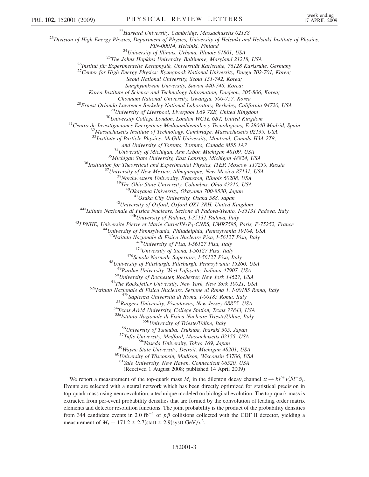<sup>22</sup>Harvard University, Cambridge, Massachusetts 02138<br><sup>23</sup>Division of High Energy Physics, Department of Physics, University of Helsinki and Helsinki Institute of Physics,

FIN-00014, Helsinki, Finland<br><sup>24</sup>University of Illinois, Urbana, Illinois 61801, USA<br><sup>25</sup>The Johns Hopkins University, Baltimore, Maryland 21218, USA<br><sup>26</sup>Institut für Experimentelle Kernphysik, Universität Karlsruhe, 76128

Seoul National University, Seoul 151-742, Korea;

Sungkyunkwan University, Suwon 440-746, Korea;

Korea Institute of Science and Technology Information, Daejeon, 305-806, Korea;

<sup>28</sup>Ernest Orlando Lawrence Berkeley National Laboratory, Berkeley, California 94720, USA<br><sup>29</sup>University of Liverpool, Liverpool L69 7ZE, United Kingdom<br><sup>30</sup>University College London, London WCIE 6BT, United Kingdom<br><sup>31</sup>C

 $33$ Institute of Particle Physics: McGill University, Montreal, Canada H3A 2T8;

and University of Toronto, Toronto, Canada M5S 1A7<br><sup>34</sup>University of Michigan, Ann Arbor, Michigan 48109, USA<br><sup>35</sup>Michigan State University, East Lansing, Michigan 48824, USA<br><sup>36</sup>Institution for Theoretical and Experimenta

<sup>42</sup>University of Oxford, Oxford OX1 3RH, United Kingdom<br><sup>44a</sup>Istituto Nazionale di Fisica Nucleare, Sezione di Padova-Trento, I-35131 Padova, Italy<br><sup>44b</sup>University of Padova, I-35131 Padova, Italy<br><sup>43</sup>LPNHE, Universite P

<sup>47a</sup>Istituto Nazionale di Fisica Nucleare Pisa, I-56127 Pisa, Italy<br><sup>47b</sup>University of Pisa, I-56127 Pisa, Italy<br><sup>47c</sup>University of Siena, I-56127 Pisa, Italy<br><sup>47d</sup>Scuola Normale Superiore, I-56127 Pisa, Italy<br><sup>48</sup>Univer

<sup>50</sup>University of Rochester, Rochester, New York 14627, USA<br><sup>51</sup>The Rockefeller University, New York, New York 10021, USA<br><sup>52a</sup>Istituto Nazionale di Fisica Nucleare, Sezione di Roma 1, I-00185 Roma, Italy<br><sup>52b</sup>Sapienza Un

<sup>55b</sup>University of Trieste/Udine, Italy<br><sup>56</sup>University of Tsukuba, Tsukuba, Ibaraki 305, Japan<br><sup>57</sup>Tufts University, Medford, Massachusetts 02155, USA<br><sup>58</sup>Wayne State University, Detroit, Michigan 48201, USA<br><sup>60</sup>Universit

<sup>61</sup>Yale University, New Haven, Connecticut 06520, USA

(Received 1 August 2008; published 14 April 2009)

We report a measurement of the top-quark mass  $M_t$  in the dilepton decay channel  $t\bar{t} \to bl^{t+} \nu_i^t \bar{b} l^{-} \bar{\nu}_i$ . Events are selected with a neural network which has been directly optimized for statistical precision in top-quark mass using neuroevolution, a technique modeled on biological evolution. The top-quark mass is extracted from per-event probability densities that are formed by the convolution of leading order matrix elements and detector resolution functions. The joint probability is the product of the probability densities from 344 candidate events in 2.0 fb<sup>-1</sup> of  $p\bar{p}$  collisions collected with the CDF II detector, yielding a measurement of  $M_t = 171.2 \pm 2.7$ (stat)  $\pm 2.9$ (syst) GeV/ $c^2$ .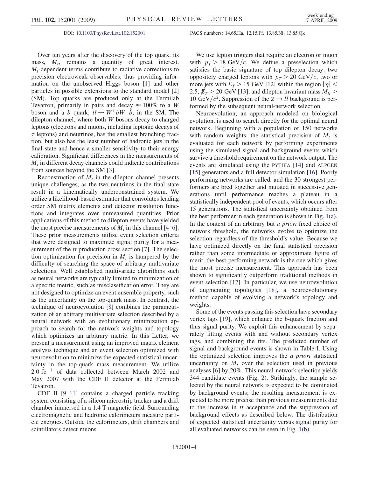Over ten years after the discovery of the top quark, its mass,  $M_t$ , remains a quantity of great interest.  $M_t$ -dependent terms contribute to radiative corrections to precision electroweak observables, thus providing information on the unobserved Higgs boson [1] and other particles in possible extensions to the standard model [2] (SM). Top quarks are produced only at the Fermilab Tevatron, primarily in pairs and decay  $\approx 100\%$  to a W boson and a b quark,  $t\bar{t} \to W^+ b W^- \bar{b}$ , in the SM. The dilenton channel where both W bosons decay to charged dilepton channel, where both W bosons decay to charged leptons (electrons and muons, including leptonic decays of  $\tau$  leptons) and neutrinos, has the smallest branching fraction, but also has the least number of hadronic jets in the final state and hence a smaller sensitivity to their energy calibration. Significant differences in the measurements of  $M_t$  in different decay channels could indicate contributions from sources beyond the SM [3].

Reconstruction of  $M_t$  in the dilepton channel presents unique challenges, as the two neutrinos in the final state result in a kinematically underconstrained system. We utilize a likelihood-based estimator that convolutes leading order SM matrix elements and detector resolution functions and integrates over unmeasured quantities. Prior applications of this method to dilepton events have yielded the most precise measurements of  $M_t$  in this channel [4–6]. These prior measurements utilize event selection criteria that were designed to maximize signal purity for a measurement of the  $t\bar{t}$  production cross section [7]. The selection optimization for precision in  $M$  is happened by the tion optimization for precision in  $M_t$  is hampered by the difficulty of searching the space of arbitrary multivariate selections. Well established multivariate algorithms such as neural networks are typically limited to minimization of a specific metric, such as misclassification error. They are not designed to optimize an event ensemble property, such as the uncertainty on the top-quark mass. In contrast, the technique of neuroevolution [8] combines the parametrization of an abitrary multivariate selection described by a neural network with an evolutionary minimization approach to search for the network weights and topology which optimizes an arbitrary metric. In this Letter, we present a measurement using an improved matrix element analysis technique and an event selection optimized with neuroevolution to minimize the expected statistical uncertainty in the top-quark mass measurement. We utilize  $2.0 \text{ fb}^{-1}$  of data collected between March 2002 and May 2007 with the CDF II detector at the Fermilab Tevatron.

CDF II [9–11] contains a charged particle tracking system consisting of a silicon microstrip tracker and a drift chamber immersed in a 1.4 T magnetic field. Surrounding electromagnetic and hadronic calorimeters measure particle energies. Outside the calorimeters, drift chambers and scintillators detect muons.

## DOI: [10.1103/PhysRevLett.102.152001](http://dx.doi.org/10.1103/PhysRevLett.102.152001) PACS numbers: 14.65.Ha, 12.15.Ff, 13.85.Ni, 13.85.Qk

We use lepton triggers that require an electron or muon with  $p_T > 18$  GeV/c. We define a preselection which satisfies the basic signature of top dilepton decay: two oppositely charged leptons with  $p_T > 20 \text{ GeV}/c$ , two or more jets with  $E_T > 15$  GeV [12] within the region  $|\eta|$  < 2.5,  $\n *E*<sub>T</sub>$  > 20 GeV [13], and dilepton invariant mass  $M_{ll}$  > 10 GeV/ $c^2$ . Suppression of the  $Z \rightarrow ll$  background is performed by the subsequent neural-network selection.

Neuroevolution, an approach modeled on biological evolution, is used to search directly for the optimal neural network. Beginning with a population of 150 networks with random weights, the statistical precision of  $M_t$  is evaluated for each network by performing experiments using the simulated signal and background events which survive a threshold requirement on the network output. The events are simulated using the PYTHIA [14] and ALPGEN [15] generators and a full detector simulation [16]. Poorly performing networks are culled, and the 30 strongest performers are bred together and mutated in successive generations until performance reaches a plateau in a statistically independent pool of events, which occurs after 15 generations. The statistical uncertainty obtained from the best performer in each generation is shown in Fig. [1\(a\)](#page-4-0). In the context of an arbitrary but a priori fixed choice of network threshold, the networks evolve to optimize the selection regardless of the threshold's value. Because we have optimized directly on the final statistical precision rather than some intermediate or approximate figure of merit, the best-performing network is the one which gives the most precise measurement. This approach has been shown to significantly outperform traditional methods in event selection [17]. In particular, we use neuroevolution of augmenting topologies [18], a neuroevolutionary method capable of evolving a network's topology and weights.

Some of the events passing this selection have secondary vertex tags [19], which enhance the b-quark fraction and thus signal purity. We exploit this enhancement by separately fitting events with and without secondary vertex tags, and combining the fits. The predicted number of signal and background events is shown in Table [I.](#page-4-0) Using the optimized selection improves the a priori statistical uncertainty on  $M_t$  over the selection used in previous analyses [6] by 20%. This neural-network selection yields 344 candidate events (Fig. [2\)](#page-4-0). Strikingly, the sample selected by the neural network is expected to be dominated by background events; the resulting measurement is expected to be more precise than previous measurements due to the increase in  $t\bar{t}$  acceptance and the suppression of hackground effects as described below. The distribution background effects as described below. The distribution of expected statistical uncertainty versus signal purity for all evaluated networks can be seen in Fig. [1\(b\)](#page-4-0).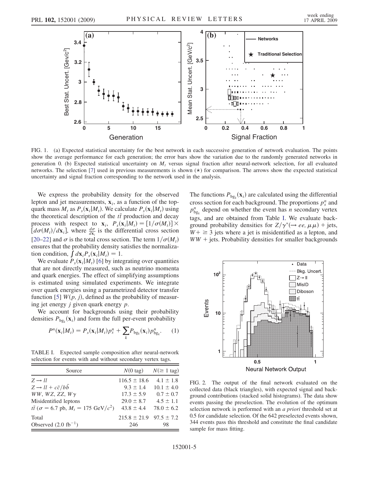<span id="page-4-0"></span>

FIG. 1. (a) Expected statistical uncertainty for the best network in each successive generation of network evaluation. The points show the average performance for each generation; the error bars show the variation due to the randomly generated networks in generation 0. (b) Expected statistical uncertainty on  $M_t$ , versus signal fraction after neural-network selection, for all evaluated networks. The selection [7] used in previous measurements is shown  $(\star)$  for comparison. The arrows show the expected statistical uncertainty and signal fraction corresponding to the network used in the analysis.

We express the probability density for the observed lepton and jet measurements,  $x_i$ , as a function of the topquark mass  $M_t$  as  $P_s(\mathbf{x}_i|M_t)$ . We calculate  $P_s(\mathbf{x}_i|M_t)$  using the theoretical description of the  $t\bar{t}$  production and decay<br>process with respect to  $\mathbf{x} = P(\mathbf{x} | \mathbf{M}) - [1/\sigma(\mathbf{M})] \times$ process with respect to  $\mathbf{x}_i$ ,  $P_s(\mathbf{x}_i|M_t) = [1/\sigma(M_t)] \times [d\sigma(M_t)/d\mathbf{x}_i]$ , where  $\frac{d\sigma}{d\mathbf{x}_i}$  is the differential cross section [20–22] and  $\sigma$  is the total cross section. The term  $1/\sigma(M_t)$ ensures that the probability density satisfies the normalization condition,  $\int d\mathbf{x}_i P_s(\mathbf{x}_i|M_t) = 1$ .

We evaluate  $P_s(\mathbf{x}_i|M_t)$  [6] by integrating over quantities that are not directly measured, such as neutrino momenta and quark energies. The effect of simplifying assumptions is estimated using simulated experiments. We integrate over quark energies using a parametrized detector transfer function [5]  $W(p, j)$ , defined as the probability of measuring jet energy  $j$  given quark energy  $p$ .

We account for backgrounds using their probability densities  $P_{bg_k}(\mathbf{x}_i)$  and form the full per-event probability

$$
P^{n}(\mathbf{x}_{i}|M_{t})=P_{s}(\mathbf{x}_{i}|M_{t})p_{s}^{n}+\sum_{k}P_{\text{bg}_{k}}(\mathbf{x}_{i})p_{\text{bg}_{k}}^{n}.
$$
 (1)

TABLE I. Expected sample composition after neural-network selection for events with and without secondary vertex tags.

| Source                                                                                                                                                                     | $N(0 \text{ tag})$                                                                      | $N(\geq 1$ tag)                                                                     |
|----------------------------------------------------------------------------------------------------------------------------------------------------------------------------|-----------------------------------------------------------------------------------------|-------------------------------------------------------------------------------------|
| $Z \rightarrow ll$<br>$Z \rightarrow ll + c\bar{c}/b\bar{b}$<br>$WW, WZ, ZZ, W\gamma$<br>Misidentified leptons<br>$t\bar{t}$ ( $\sigma$ = 6.7 pb, $M_t$ = 175 GeV/ $c^2$ ) | $116.5 \pm 18.6$<br>$9.3 \pm 1.4$<br>$17.3 \pm 5.9$<br>$29.0 \pm 8.7$<br>$43.8 \pm 4.4$ | $4.1 \pm 1.8$<br>$10.1 \pm 4.0$<br>$0.7 \pm 0.7$<br>$4.5 \pm 1.1$<br>$78.0 \pm 6.2$ |
| Total<br>Observed $(2.0 \text{ fb}^{-1})$                                                                                                                                  | $215.8 \pm 21.9$ $97.5 \pm 7.2$<br>246                                                  | 98                                                                                  |

The functions  $P_{bg_k}(\mathbf{x}_i)$  are calculated using the differential areas section for each background. The proportions  $x^h$  and cross section for each background. The proportions  $p_s^n$  and  $p_{g_k}^n$  depend on whether the event has *n* secondary vertex<br>texts and are obtained from Table I. We synthete hack tags, and are obtained from Table I. We evaluate background probability densities for  $Z/\gamma^* (\rightarrow ee, \mu\mu)$  + jets,  $W + \geq 3$  jets where a jet is misidentified as a lepton, and  $WW + jets$ . Probability densities for smaller backgrounds



FIG. 2. The output of the final network evaluated on the collected data (black triangles), with expected signal and background contributions (stacked solid histograms). The data show events passing the preselection. The evolution of the optimum selection network is performed with an a priori threshold set at 0.5 for candidate selection. Of the 642 preselected events shown, 344 events pass this threshold and constitute the final candidate sample for mass fitting.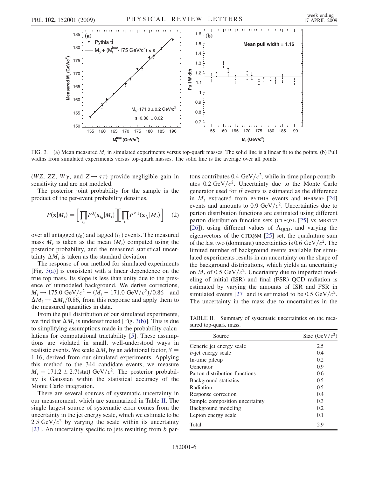<span id="page-5-0"></span>

FIG. 3. (a) Mean measured  $M_t$  in simulated experiments versus top-quark masses. The solid line is a linear fit to the points. (b) Pull widths from simulated experiments versus top-quark masses. The solid line is the average over all points.

(WZ, ZZ,  $W\gamma$ , and  $Z \rightarrow \tau\tau$ ) provide negligible gain in sensitivity and are not modeled.

The posterior joint probability for the sample is the product of the per-event probability densities,

$$
P(\mathbf{x}|M_t) = \left[\prod_{i_0} P^0(\mathbf{x}_{i_0}|M_t)\right] \left[\prod_{i_1} P^{ \geq 1}(\mathbf{x}_{i_1}|M_t)\right] \quad (2)
$$

over all untagged  $(i_0)$  and tagged  $(i_1)$  events. The measured mass  $M_t$  is taken as the mean  $\langle M_t \rangle$  computed using the posterior probability, and the measured statistical uncertainty  $\Delta M_t$  is taken as the standard deviation.<br>The response of our method for simulated

The response of our method for simulated experiments [Fig.  $3(a)$ ] is consistent with a linear dependence on the true top mass. Its slope is less than unity due to the presence of unmodeled background. We derive corrections,  $M_t \rightarrow 175.0 \text{ GeV}/c^2 + (M_t - 171.0 \text{ GeV}/c^2)/0.86$  and the measured quantities in data.  $M_t \rightarrow \Delta M_t/0.86$ , from this response and apply them to e-measured quantities in data

From the pull distribution of our simulated experiments, we find that  $\Delta M_t$  is underestimated [Fig. 3(b)]. This is due<br>to simplifying assumptions made in the probability calcuto simplifying assumptions made in the probability calculations for computational tractability [5]. These assumptions are violated in small, well-understood ways in realistic events. We scale  $\Delta M_t$  by an additional factor,  $S = 1.16$  derived from our simulated experiments. Applying 1:16, derived from our simulated experiments. Applying this method to the 344 candidate events, we measure  $M_t = 171.2 \pm 2.7$ (stat) GeV/ $c^2$ . The posterior probabil-<br>ity is Gaussian within the statistical accuracy of the ity is Gaussian within the statistical accuracy of the Monte Carlo integration.

There are several sources of systematic uncertainty in our measurement, which are summarized in Table II. The single largest source of systematic error comes from the uncertainty in the jet energy scale, which we estimate to be 2.5 GeV/ $c^2$  by varying the scale within its uncertainty [23]. An uncertainty specific to jets resulting from b partons contributes 0.4 GeV/ $c^2$ , while in-time pileup contributes  $0.2 \text{ GeV}/c^2$ . Uncertainty due to the Monte Carlo generator used for  $t\bar{t}$  events is estimated as the difference<br>in  $M$  extracted from DYTHA events and HEDWIC [24] in  $M_t$  extracted from PYTHIA events and HERWIG [24] events and amounts to 0.9 GeV/ $c^2$ . Uncertainties due to parton distribution functions are estimated using different parton distribution function sets (CTEQ5L [25] vs MRST72 [26]), using different values of  $\Lambda_{\text{QCD}}$ , and varying the eigenvectors of the CTEQ6M [25] set; the quadrature sum of the last two (dominant) uncertainties is 0.6 GeV/ $c^2$ . The limited number of background events available for simulated experiments results in an uncertainty on the shape of the background distributions, which yields an uncertainty on  $M_t$  of 0.5 GeV/ $c^2$ . Uncertainty due to imperfect modeling of initial (ISR) and final (FSR) QCD radiation is estimated by varying the amounts of ISR and FSR in simulated events [27] and is estimated to be 0.5 GeV/ $c^2$ . The uncertainty in the mass due to uncertainties in the

TABLE II. Summary of systematic uncertainties on the measured top-quark mass.

| Source                         | Size $(GeV/c^2)$ |
|--------------------------------|------------------|
| Generic jet energy scale       | 2.5              |
| <i>b</i> -jet energy scale     | 0.4              |
| In-time pileup                 | 0.2              |
| Generator                      | 0.9              |
| Parton distribution functions  | 0.6              |
| Background statistics          | 0.5              |
| Radiation                      | 0.5              |
| Response correction            | 0.4              |
| Sample composition uncertainty | 0.3              |
| Background modeling            | 0.2              |
| Lepton energy scale            | 0.1              |
| Total                          | 2.9              |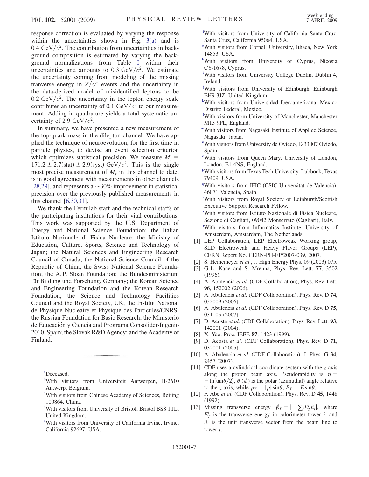<span id="page-6-0"></span>response correction is evaluated by varying the response within the uncertainties shown in Fig.  $3(a)$  and is 0.4 GeV/ $c^2$ . The contribution from uncertainties in background composition is estimated by varying the background normalizations from Table [I](#page-4-0) within their uncertainties and amounts to 0.3 GeV/ $c^2$ . We estimate the uncertainty coming from modeling of the missing tranverse energy in  $Z/\gamma^*$  events and the uncertainty in the data-derived model of misidentified leptons to be 0.2 GeV/ $c^2$ . The uncertainty in the lepton energy scale contributes an uncertainty of 0.1 GeV/ $c^2$  to our measurement. Adding in quadrature yields a total systematic uncertainty of 2.9 GeV/ $c^2$ .

In summary, we have presented a new measurement of the top-quark mass in the dilepton channel. We have applied the technique of neuroevolution, for the first time in particle physics, to devise an event selection criterion which optimizes statistical precision. We measure  $M_t =$ 171.2  $\pm$  2.7(stat)  $\pm$  2.9(syst) GeV/ $c^2$ . This is the single<br>most precise measurement of M in this channel to date most precise measurement of  $M_t$  in this channel to date, is in good agreement with measurements in other channels [28,29], and represents a  $\sim$  30% improvement in statistical precision over the previously published measurements in this channel [6,30,31].

We thank the Fermilab staff and the technical staffs of the participating institutions for their vital contributions. This work was supported by the U.S. Department of Energy and National Science Foundation; the Italian Istituto Nazionale di Fisica Nucleare; the Ministry of Education, Culture, Sports, Science and Technology of Japan; the Natural Sciences and Engineering Research Council of Canada; the National Science Council of the Republic of China; the Swiss National Science Foundation; the A. P. Sloan Foundation; the Bundesministerium für Bildung und Forschung, Germany; the Korean Science and Engineering Foundation and the Korean Research Foundation; the Science and Technology Facilities Council and the Royal Society, UK; the Institut National de Physique Nucleaire et Physique des Particules/CNRS; the Russian Foundation for Basic Research; the Ministerio de Educación y Ciencia and Programa Consolider-Ingenio 2010, Spain; the Slovak R&D Agency; and the Academy of Finland.

a Deceased.

- bWith visitors from Universiteit Antwerpen, B-2610 Antwerp, Belgium.
- c With visitors from Chinese Academy of Sciences, Beijing 100864, China.
- d With visitors from University of Bristol, Bristol BS8 1TL, United Kingdom.
- e With visitors from University of California Irvine, Irvine, California 92697, USA.

f With visitors from University of California Santa Cruz, Santa Cruz, California 95064, USA.

- g With visitors from Cornell University, Ithaca, New York 14853, USA.
- hWith visitors from University of Cyprus, Nicosia CY-1678, Cyprus.
- i With visitors from University College Dublin, Dublin 4, Ireland.
- j With visitors from University of Edinburgh, Edinburgh EH9 3JZ, United Kingdom.
- k With visitors from Universidad Iberoamericana, Mexico Distrito Federal, Mexico.
- l With visitors from University of Manchester, Manchester M13 9PL, England.
- mWith visitors from Nagasaki Institute of Applied Science, Nagasaki, Japan.
- <sup>n</sup>With visitors from University de Oviedo, E-33007 Oviedo, Spain.
- <sup>o</sup>With visitors from Queen Mary, University of London, London, E1 4NS, England.
- <sup>p</sup>With visitors from Texas Tech University, Lubbock, Texas 79409, USA.
- <sup>q</sup>With visitors from IFIC (CSIC-Universitat de Valencia), 46071 Valencia, Spain.

r With visitors from Royal Society of Edinburgh/Scottish Executive Support Research Fellow.

s With visitors from Istituto Nazionale di Fisica Nucleare, Sezione di Cagliari, 09042 Monserrato (Cagliari), Italy. t With visitors from Informatics Institute, University of Amsterdam, Amsterdam, The Netherlands.

- [1] LEP Collaboration, LEP Electroweak Working group, SLD Electroweak and Heavy Flavor Groups (LEP), CERN Report No. CERN-PH-EP/2007-039, 2007.
- [2] S. Heinemeyer et al., J. High Energy Phys. 09 (2003) 075.
- [3] G. L. Kane and S. Mrenna, Phys. Rev. Lett. **77**, 3502 (1996).
- [4] A. Abulencia et al. (CDF Collaboration), Phys. Rev. Lett. 96, 152002 (2006).
- [5] A. Abulencia et al. (CDF Collaboration), Phys. Rev. D 74, 032009 (2006).
- [6] A. Abulencia et al. (CDF Collaboration), Phys. Rev. D 75, 031105 (2007).
- [7] D. Acosta et al. (CDF Collaboration), Phys. Rev. Lett. 93, 142001 (2004).
- [8] X. Yao, Proc. IEEE 87, 1423 (1999).
- [9] D. Acosta et al. (CDF Collaboration), Phys. Rev. D 71, 032001 (2005).
- [10] A. Abulencia et al. (CDF Collaboration), J. Phys. G 34, 2457 (2007).
- [11] CDF uses a cylindrical coordinate system with the  $z$  axis along the proton beam axis. Pseudorapidity is  $\eta \equiv$  $-\ln(\tan\theta/2), \theta (\phi)$  is the polar (azimuthal) angle relative to the z axis, while  $p_T = |p| \sin \theta$ ,  $E_T = E \sin \theta$ .
- [12] F. Abe et al. (CDF Collaboration), Phys. Rev. D 45, 1448 (1992).
- [13] Missing transverse energy  $\mathbf{\vec{E}}_T = \begin{bmatrix} -\sum_i E_T^i \vec{n}_i \end{bmatrix}$ , where  $E_T^i$  is the transverse energy in calorimeter tower *i*, and  $\vec{n}_i$  is the unit transverse vector from the beam line to tower i.